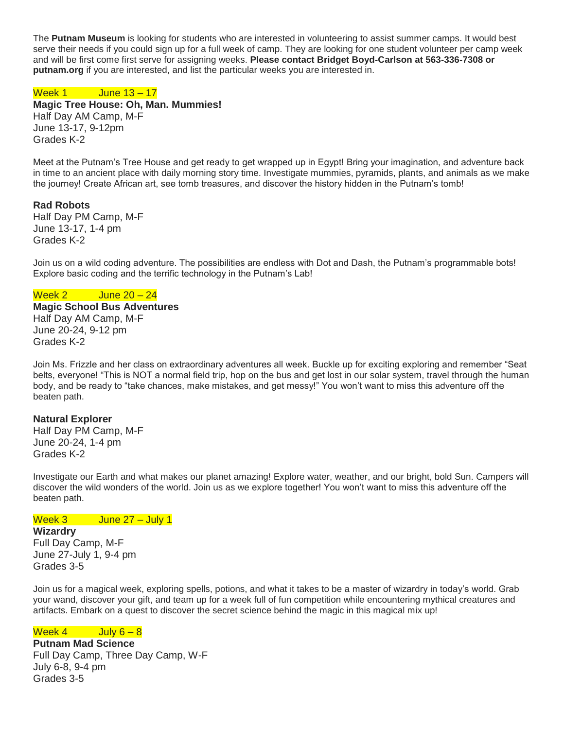The **Putnam Museum** is looking for students who are interested in volunteering to assist summer camps. It would best serve their needs if you could sign up for a full week of camp. They are looking for one student volunteer per camp week and will be first come first serve for assigning weeks. **Please contact Bridget Boyd-Carlson at 563-336-7308 or putnam.org** if you are interested, and list the particular weeks you are interested in.

# Week 1 June 13 – 17

**Magic Tree House: Oh, Man. Mummies!** Half Day AM Camp, M-F June 13-17, 9-12pm Grades K-2

Meet at the Putnam's Tree House and get ready to get wrapped up in Egypt! Bring your imagination, and adventure back in time to an ancient place with daily morning story time. Investigate mummies, pyramids, plants, and animals as we make the journey! Create African art, see tomb treasures, and discover the history hidden in the Putnam's tomb!

# **Rad Robots**

Half Day PM Camp, M-F June 13-17, 1-4 pm Grades K-2

Join us on a wild coding adventure. The possibilities are endless with Dot and Dash, the Putnam's programmable bots! Explore basic coding and the terrific technology in the Putnam's Lab!

### Week 2 June 20 – 24

**Magic School Bus Adventures**  Half Day AM Camp, M-F June 20-24, 9-12 pm Grades K-2

Join Ms. Frizzle and her class on extraordinary adventures all week. Buckle up for exciting exploring and remember "Seat belts, everyone! "This is NOT a normal field trip, hop on the bus and get lost in our solar system, travel through the human body, and be ready to "take chances, make mistakes, and get messy!" You won't want to miss this adventure off the beaten path.

### **Natural Explorer**

Half Day PM Camp, M-F June 20-24, 1-4 pm Grades K-2

Investigate our Earth and what makes our planet amazing! Explore water, weather, and our bright, bold Sun. Campers will discover the wild wonders of the world. Join us as we explore together! You won't want to miss this adventure off the beaten path.

# Week 3 June 27 – July 1

**Wizardry**

Full Day Camp, M-F June 27-July 1, 9-4 pm Grades 3-5

Join us for a magical week, exploring spells, potions, and what it takes to be a master of wizardry in today's world. Grab your wand, discover your gift, and team up for a week full of fun competition while encountering mythical creatures and artifacts. Embark on a quest to discover the secret science behind the magic in this magical mix up!

### Week  $4$  July  $6-8$

**Putnam Mad Science** Full Day Camp, Three Day Camp, W-F July 6-8, 9-4 pm Grades 3-5